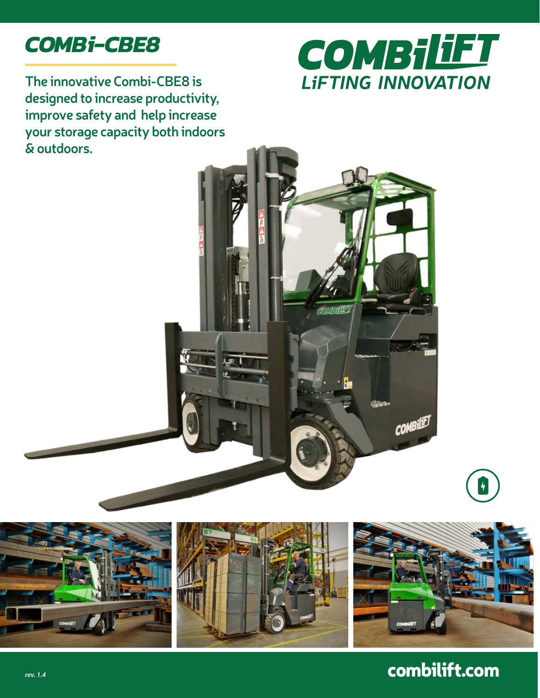## *COMBi-CBE8*



**The innovative Combi-CBE8 is designed to increase productivity, improve safety and help increase your storage capacity both indoors & outdoors.**





## combilift.com

 $\frac{1}{\sqrt{2}}$